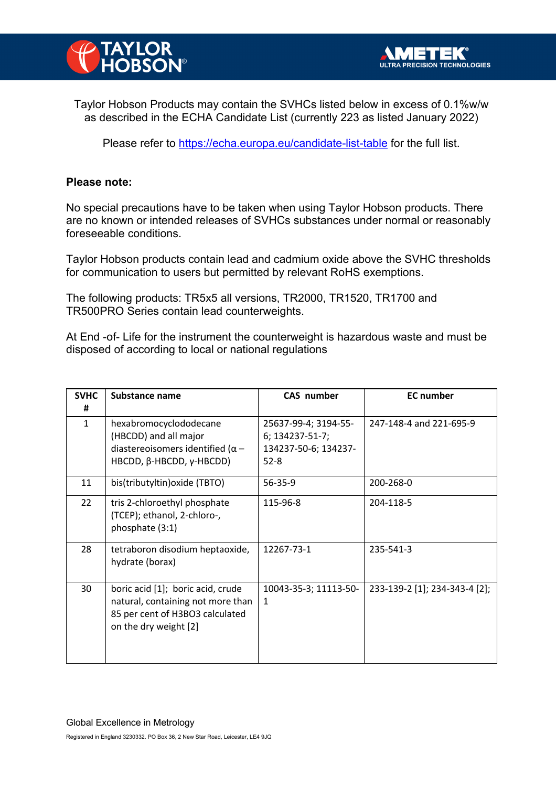

Taylor Hobson Products may contain the SVHCs listed below in excess of 0.1%w/w as described in the ECHA Candidate List (currently 223 as listed January 2022)

Please refer to https://echa.europa.eu/candidate-list-table for the full list.

## **Please note:**

No special precautions have to be taken when using Taylor Hobson products. There are no known or intended releases of SVHCs substances under normal or reasonably foreseeable conditions.

Taylor Hobson products contain lead and cadmium oxide above the SVHC thresholds for communication to users but permitted by relevant RoHS exemptions.

The following products: TR5x5 all versions, TR2000, TR1520, TR1700 and TR500PRO Series contain lead counterweights.

At End -of- Life for the instrument the counterweight is hazardous waste and must be disposed of according to local or national regulations

| <b>SVHC</b><br># | Substance name                                                                                                                     | CAS number                                                                  | <b>EC</b> number              |
|------------------|------------------------------------------------------------------------------------------------------------------------------------|-----------------------------------------------------------------------------|-------------------------------|
| $\mathbf{1}$     | hexabromocyclododecane<br>(HBCDD) and all major<br>diastereoisomers identified ( $\alpha$ –<br>HBCDD, β-HBCDD, γ-HBCDD)            | 25637-99-4; 3194-55-<br>6; 134237-51-7;<br>134237-50-6; 134237-<br>$52 - 8$ | 247-148-4 and 221-695-9       |
| 11               | bis(tributyltin) oxide (TBTO)                                                                                                      | 56-35-9                                                                     | 200-268-0                     |
| 22               | tris 2-chloroethyl phosphate<br>(TCEP); ethanol, 2-chloro-,<br>phosphate (3:1)                                                     | 115-96-8                                                                    | 204-118-5                     |
| 28               | tetraboron disodium heptaoxide,<br>hydrate (borax)                                                                                 | 12267-73-1                                                                  | 235-541-3                     |
| 30               | boric acid [1]; boric acid, crude<br>natural, containing not more than<br>85 per cent of H3BO3 calculated<br>on the dry weight [2] | 10043-35-3; 11113-50-<br>1                                                  | 233-139-2 [1]; 234-343-4 [2]; |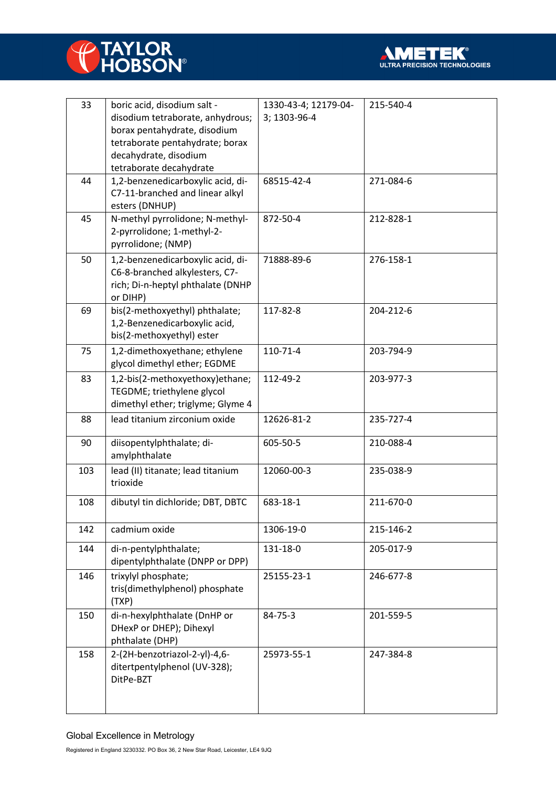



| 33  | boric acid, disodium salt -       | 1330-43-4; 12179-04- | 215-540-4 |
|-----|-----------------------------------|----------------------|-----------|
|     | disodium tetraborate, anhydrous;  | 3; 1303-96-4         |           |
|     | borax pentahydrate, disodium      |                      |           |
|     | tetraborate pentahydrate; borax   |                      |           |
|     | decahydrate, disodium             |                      |           |
|     | tetraborate decahydrate           |                      |           |
| 44  | 1,2-benzenedicarboxylic acid, di- | 68515-42-4           | 271-084-6 |
|     | C7-11-branched and linear alkyl   |                      |           |
|     | esters (DNHUP)                    |                      |           |
| 45  | N-methyl pyrrolidone; N-methyl-   | 872-50-4             |           |
|     |                                   |                      | 212-828-1 |
|     | 2-pyrrolidone; 1-methyl-2-        |                      |           |
|     | pyrrolidone; (NMP)                |                      |           |
| 50  | 1,2-benzenedicarboxylic acid, di- | 71888-89-6           | 276-158-1 |
|     | C6-8-branched alkylesters, C7-    |                      |           |
|     | rich; Di-n-heptyl phthalate (DNHP |                      |           |
|     | or DIHP)                          |                      |           |
| 69  | bis(2-methoxyethyl) phthalate;    | 117-82-8             | 204-212-6 |
|     | 1,2-Benzenedicarboxylic acid,     |                      |           |
|     | bis(2-methoxyethyl) ester         |                      |           |
| 75  | 1,2-dimethoxyethane; ethylene     | 110-71-4             | 203-794-9 |
|     | glycol dimethyl ether; EGDME      |                      |           |
|     |                                   |                      |           |
| 83  | 1,2-bis(2-methoxyethoxy)ethane;   | 112-49-2             | 203-977-3 |
|     | TEGDME; triethylene glycol        |                      |           |
|     | dimethyl ether; triglyme; Glyme 4 |                      |           |
| 88  | lead titanium zirconium oxide     | 12626-81-2           | 235-727-4 |
|     |                                   |                      |           |
| 90  | diisopentylphthalate; di-         | 605-50-5             | 210-088-4 |
|     | amylphthalate                     |                      |           |
| 103 | lead (II) titanate; lead titanium | 12060-00-3           | 235-038-9 |
|     | trioxide                          |                      |           |
|     |                                   |                      |           |
| 108 | dibutyl tin dichloride; DBT, DBTC | 683-18-1             | 211-670-0 |
|     |                                   |                      |           |
| 142 | cadmium oxide                     | 1306-19-0            | 215-146-2 |
| 144 | di-n-pentylphthalate;             | 131-18-0             | 205-017-9 |
|     | dipentylphthalate (DNPP or DPP)   |                      |           |
|     |                                   |                      |           |
| 146 | trixylyl phosphate;               | 25155-23-1           | 246-677-8 |
|     | tris(dimethylphenol) phosphate    |                      |           |
|     | (TXP)                             |                      |           |
| 150 | di-n-hexylphthalate (DnHP or      | 84-75-3              | 201-559-5 |
|     | DHexP or DHEP); Dihexyl           |                      |           |
|     | phthalate (DHP)                   |                      |           |
| 158 | 2-(2H-benzotriazol-2-yl)-4,6-     | 25973-55-1           | 247-384-8 |
|     | ditertpentylphenol (UV-328);      |                      |           |
|     | DitPe-BZT                         |                      |           |
|     |                                   |                      |           |
|     |                                   |                      |           |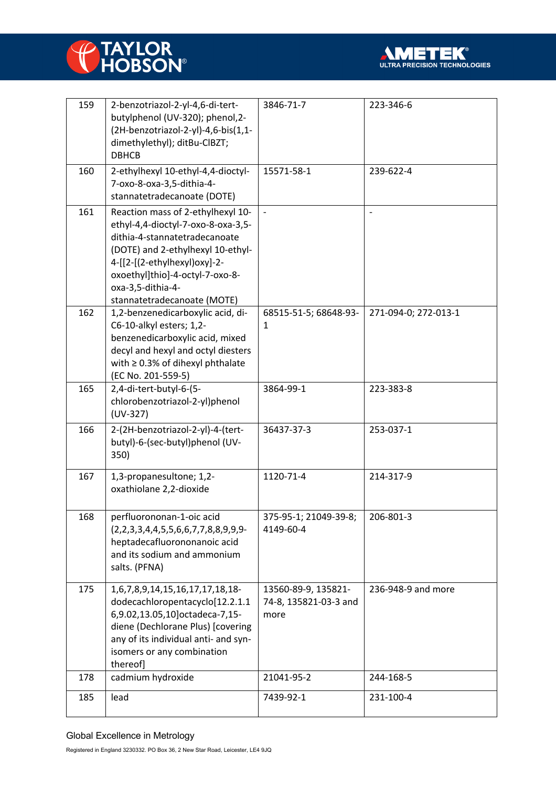



| 159 | 2-benzotriazol-2-yl-4,6-di-tert-<br>butylphenol (UV-320); phenol, 2-<br>(2H-benzotriazol-2-yl)-4,6-bis(1,1-<br>dimethylethyl); ditBu-ClBZT;<br><b>DBHCB</b>                                                                                                          | 3846-71-7                                            | 223-346-6                |
|-----|----------------------------------------------------------------------------------------------------------------------------------------------------------------------------------------------------------------------------------------------------------------------|------------------------------------------------------|--------------------------|
| 160 | 2-ethylhexyl 10-ethyl-4,4-dioctyl-<br>7-oxo-8-oxa-3,5-dithia-4-<br>stannatetradecanoate (DOTE)                                                                                                                                                                       | 15571-58-1                                           | 239-622-4                |
| 161 | Reaction mass of 2-ethylhexyl 10-<br>ethyl-4,4-dioctyl-7-oxo-8-oxa-3,5-<br>dithia-4-stannatetradecanoate<br>(DOTE) and 2-ethylhexyl 10-ethyl-<br>4-[[2-[(2-ethylhexyl)oxy]-2-<br>oxoethyl]thio]-4-octyl-7-oxo-8-<br>oxa-3,5-dithia-4-<br>stannatetradecanoate (MOTE) | $\overline{\phantom{a}}$                             | $\overline{\phantom{a}}$ |
| 162 | 1,2-benzenedicarboxylic acid, di-<br>C6-10-alkyl esters; 1,2-<br>benzenedicarboxylic acid, mixed<br>decyl and hexyl and octyl diesters<br>with $\geq$ 0.3% of dihexyl phthalate<br>(EC No. 201-559-5)                                                                | 68515-51-5; 68648-93-<br>$\mathbf{1}$                | 271-094-0; 272-013-1     |
| 165 | 2,4-di-tert-butyl-6-(5-<br>chlorobenzotriazol-2-yl)phenol<br>$(UV-327)$                                                                                                                                                                                              | 3864-99-1                                            | 223-383-8                |
| 166 | 2-(2H-benzotriazol-2-yl)-4-(tert-<br>butyl)-6-(sec-butyl)phenol (UV-<br>350)                                                                                                                                                                                         | 36437-37-3                                           | 253-037-1                |
| 167 | 1,3-propanesultone; 1,2-<br>oxathiolane 2,2-dioxide                                                                                                                                                                                                                  | 1120-71-4                                            | 214-317-9                |
| 168 | perfluorononan-1-oic acid<br>$(2,2,3,3,4,4,5,5,6,6,7,7,8,8,9,9,9-$<br>heptadecafluorononanoic acid<br>and its sodium and ammonium<br>salts. (PFNA)                                                                                                                   | 375-95-1; 21049-39-8;<br>4149-60-4                   | 206-801-3                |
| 175 | 1,6,7,8,9,14,15,16,17,17,18,18-<br>dodecachloropentacyclo[12.2.1.1<br>6,9.02,13.05,10] octadeca-7,15-<br>diene (Dechlorane Plus) [covering<br>any of its individual anti- and syn-<br>isomers or any combination<br>thereof]                                         | 13560-89-9, 135821-<br>74-8, 135821-03-3 and<br>more | 236-948-9 and more       |
| 178 | cadmium hydroxide                                                                                                                                                                                                                                                    | 21041-95-2                                           | 244-168-5                |
| 185 | lead                                                                                                                                                                                                                                                                 | 7439-92-1                                            | 231-100-4                |

## Global Excellence in Metrology

Registered in England 3230332. PO Box 36, 2 New Star Road, Leicester, LE4 9JQ